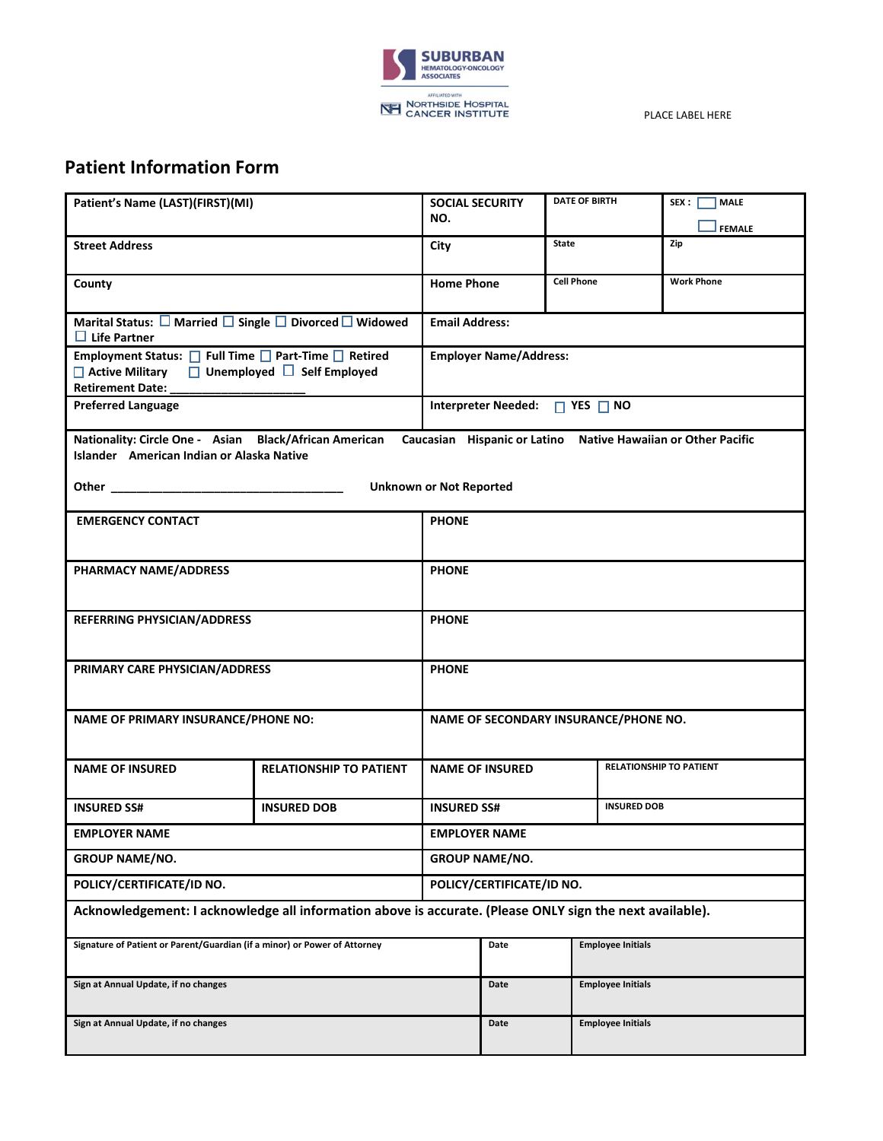

PLACE LABEL HERE

## **Patient Information Form**

| Patient's Name (LAST)(FIRST)(MI)                                                                                                                                     |                                | <b>SOCIAL SECURITY</b><br>NO.            |                                                          | <b>DATE OF BIRTH</b> |                          | SEX :<br><b>MALE</b><br><b>FEMALE</b> |  |
|----------------------------------------------------------------------------------------------------------------------------------------------------------------------|--------------------------------|------------------------------------------|----------------------------------------------------------|----------------------|--------------------------|---------------------------------------|--|
| <b>Street Address</b>                                                                                                                                                |                                | City                                     |                                                          | <b>State</b>         |                          | Zip                                   |  |
| County                                                                                                                                                               |                                | <b>Home Phone</b>                        |                                                          | <b>Cell Phone</b>    |                          | <b>Work Phone</b>                     |  |
| Marital Status: $\square$ Married $\square$ Single $\square$ Divorced $\square$ Widowed<br>$\Box$ Life Partner                                                       |                                |                                          | <b>Email Address:</b>                                    |                      |                          |                                       |  |
| Employment Status: □ Full Time □ Part-Time □ Retired<br>$\Box$ Active Military $\Box$ Unemployed $\Box$ Self Employed<br>Retirement Date:                            |                                | <b>Employer Name/Address:</b>            |                                                          |                      |                          |                                       |  |
| <b>Preferred Language</b>                                                                                                                                            |                                | Interpreter Needed: $\Box$ YES $\Box$ NO |                                                          |                      |                          |                                       |  |
| Nationality: Circle One - Asian Black/African American<br>Caucasian Hispanic or Latino Native Hawaiian or Other Pacific<br>Islander American Indian or Alaska Native |                                |                                          |                                                          |                      |                          |                                       |  |
|                                                                                                                                                                      | <b>Unknown or Not Reported</b> |                                          |                                                          |                      |                          |                                       |  |
| <b>EMERGENCY CONTACT</b>                                                                                                                                             |                                | <b>PHONE</b>                             |                                                          |                      |                          |                                       |  |
| PHARMACY NAME/ADDRESS                                                                                                                                                |                                |                                          | <b>PHONE</b>                                             |                      |                          |                                       |  |
| REFERRING PHYSICIAN/ADDRESS                                                                                                                                          |                                | <b>PHONE</b>                             |                                                          |                      |                          |                                       |  |
| PRIMARY CARE PHYSICIAN/ADDRESS                                                                                                                                       |                                | <b>PHONE</b>                             |                                                          |                      |                          |                                       |  |
| NAME OF PRIMARY INSURANCE/PHONE NO:                                                                                                                                  |                                | NAME OF SECONDARY INSURANCE/PHONE NO.    |                                                          |                      |                          |                                       |  |
| <b>NAME OF INSURED</b>                                                                                                                                               | <b>RELATIONSHIP TO PATIENT</b> |                                          | <b>RELATIONSHIP TO PATIENT</b><br><b>NAME OF INSURED</b> |                      |                          |                                       |  |
| <b>INSURED SS#</b>                                                                                                                                                   | <b>INSURED DOB</b>             | <b>INSURED SS#</b>                       | <b>INSURED DOB</b>                                       |                      |                          |                                       |  |
| <b>EMPLOYER NAME</b>                                                                                                                                                 |                                | <b>EMPLOYER NAME</b>                     |                                                          |                      |                          |                                       |  |
| <b>GROUP NAME/NO.</b>                                                                                                                                                |                                | <b>GROUP NAME/NO.</b>                    |                                                          |                      |                          |                                       |  |
| POLICY/CERTIFICATE/ID NO.                                                                                                                                            |                                | POLICY/CERTIFICATE/ID NO.                |                                                          |                      |                          |                                       |  |
| Acknowledgement: I acknowledge all information above is accurate. (Please ONLY sign the next available).                                                             |                                |                                          |                                                          |                      |                          |                                       |  |
| Signature of Patient or Parent/Guardian (if a minor) or Power of Attorney                                                                                            |                                |                                          | Date                                                     |                      | <b>Employee Initials</b> |                                       |  |
| Sign at Annual Update, if no changes                                                                                                                                 |                                |                                          | Date                                                     |                      | <b>Employee Initials</b> |                                       |  |
| Sign at Annual Update, if no changes                                                                                                                                 |                                |                                          | Date                                                     |                      | <b>Employee Initials</b> |                                       |  |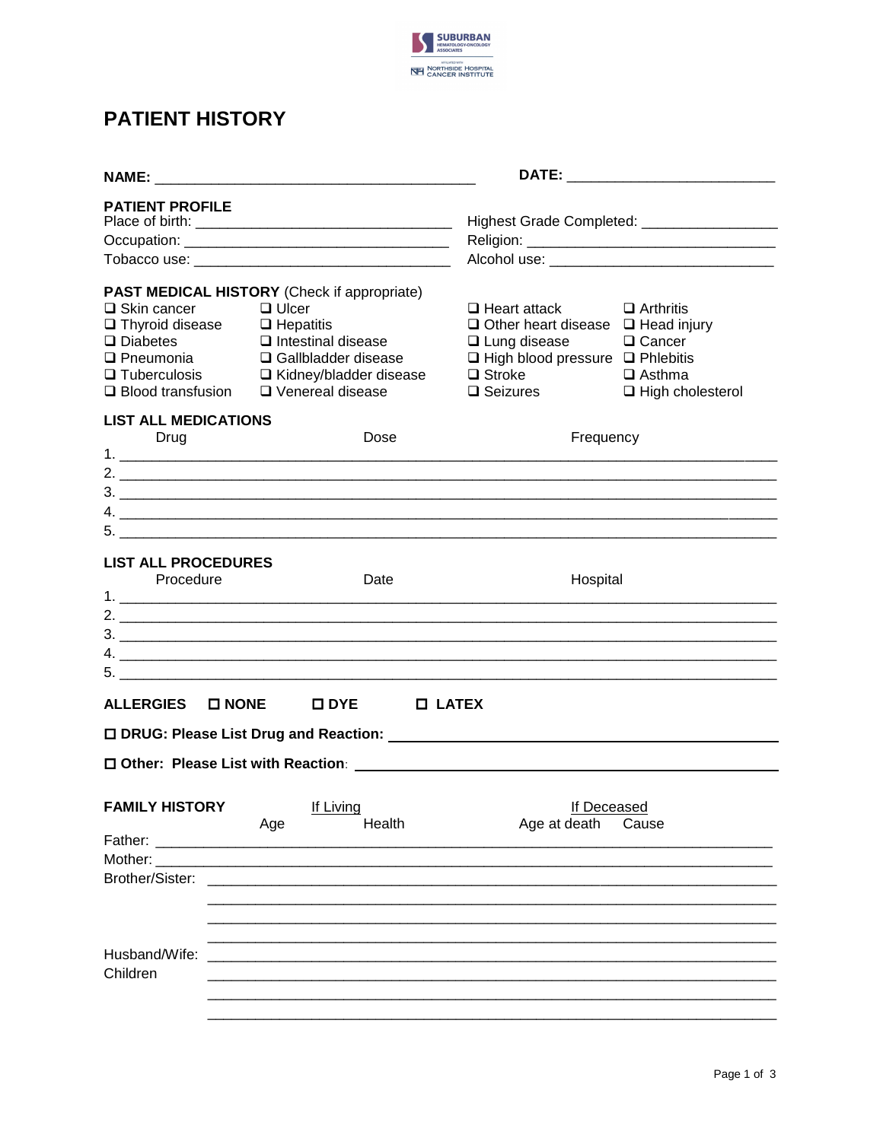

## **PATIENT HISTORY**

| <b>PATIENT PROFILE</b>                                                                                             |                                                                                                                                                                                                                  |                                                                                                                                                                                   | Highest Grade Completed: ____________________                            |
|--------------------------------------------------------------------------------------------------------------------|------------------------------------------------------------------------------------------------------------------------------------------------------------------------------------------------------------------|-----------------------------------------------------------------------------------------------------------------------------------------------------------------------------------|--------------------------------------------------------------------------|
| $\square$ Skin cancer<br>$\Box$ Thyroid disease<br>$\Box$ Diabetes<br>$\Box$ Pneumonia<br>$\Box$ Blood transfusion | PAST MEDICAL HISTORY (Check if appropriate)<br>$\Box$ Ulcer<br>$\Box$ Hepatitis<br>$\Box$ Intestinal disease<br>□ Gallbladder disease<br>$\Box$ Tuberculosis $\Box$ Kidney/bladder disease<br>□ Venereal disease | $\Box$ Heart attack<br>$\Box$ Other heart disease $\Box$ Head injury<br>$\Box$ Lung disease<br>$\Box$ High blood pressure $\Box$ Phlebitis<br>$\Box$ Stroke<br>$\square$ Seizures | $\Box$ Arthritis<br>□ Cancer<br>$\Box$ Asthma<br>$\Box$ High cholesterol |
| <b>LIST ALL MEDICATIONS</b><br>Drug                                                                                | Dose<br>5.                                                                                                                                                                                                       | Frequency                                                                                                                                                                         |                                                                          |
| <b>LIST ALL PROCEDURES</b><br>Procedure                                                                            | Date                                                                                                                                                                                                             | Hospital                                                                                                                                                                          |                                                                          |
| ALLERGIES □ NONE                                                                                                   | $\square$ DYE<br>$\Box$ LATEX                                                                                                                                                                                    |                                                                                                                                                                                   |                                                                          |
|                                                                                                                    |                                                                                                                                                                                                                  |                                                                                                                                                                                   |                                                                          |
| <b>FAMILY HISTORY</b><br>Father:<br>Mother:<br>Brother/Sister:                                                     | If Living<br>Health<br>Age                                                                                                                                                                                       | If Deceased<br>Age at death                                                                                                                                                       | Cause                                                                    |
| Husband/Wife:<br>Children                                                                                          |                                                                                                                                                                                                                  |                                                                                                                                                                                   |                                                                          |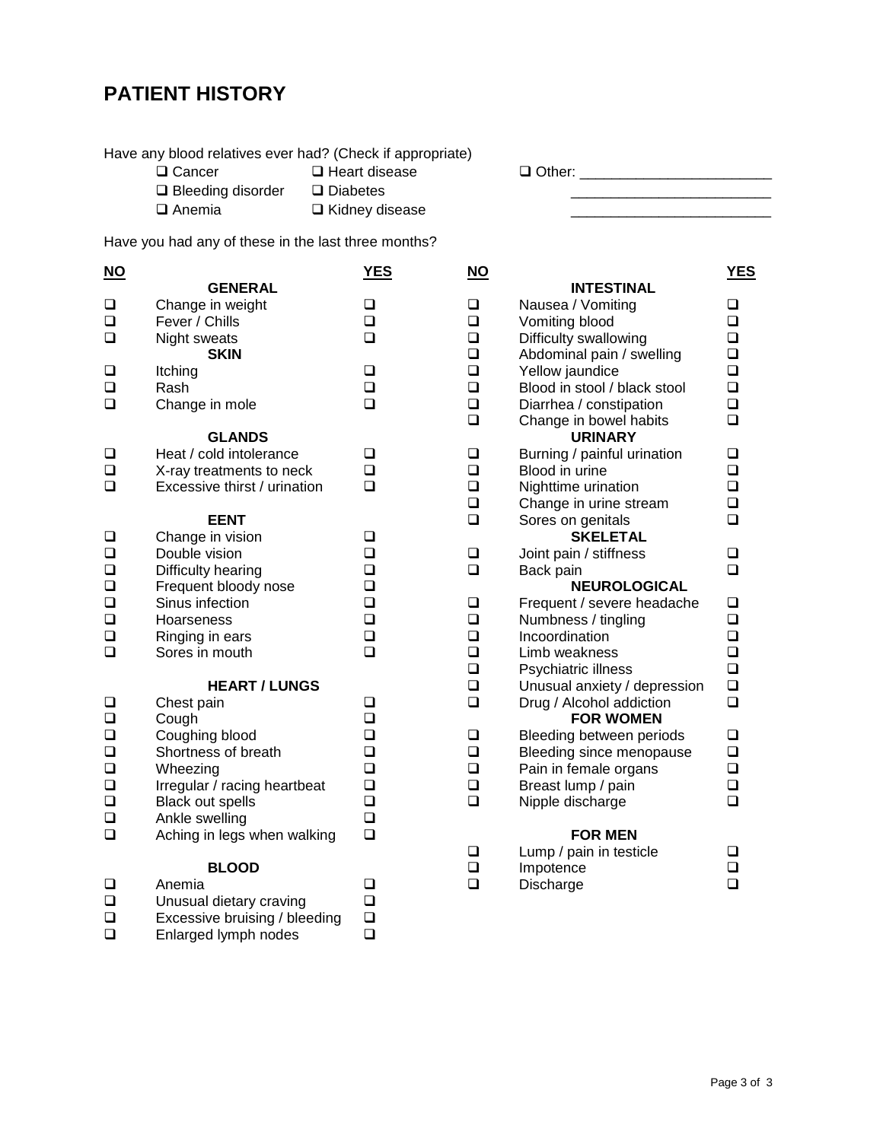# **PATIENT HISTORY**

Have any blood relatives ever had? (Check if appropriate)

| $\Box$ Cancer            | $\Box$ Heart disease  |
|--------------------------|-----------------------|
| $\Box$ Bleeding disorder | $\Box$ Diabetes       |
| $\Box$ Anemia            | $\Box$ Kidney disease |

Cancer Heart disease Other: \_\_\_\_\_\_\_\_\_\_\_\_\_\_\_\_\_\_\_\_\_\_\_\_

Bleeding disorder Diabetes \_\_\_\_\_\_\_\_\_\_\_\_\_\_\_\_\_\_\_\_\_\_\_\_\_

Have you had any of these in the last three months?

| <u>NU</u> |                               | <u>נבס</u> | <u>NU</u> |                              | <u>т на</u> |
|-----------|-------------------------------|------------|-----------|------------------------------|-------------|
|           | <b>GENERAL</b>                |            |           | <b>INTESTINAL</b>            |             |
| $\Box$    | Change in weight              | $\Box$     | $\Box$    | Nausea / Vomiting            | $\Box$      |
| $\Box$    | Fever / Chills                | $\Box$     | $\Box$    | Vomiting blood               | $\Box$      |
| $\Box$    | Night sweats                  | $\Box$     | $\Box$    | Difficulty swallowing        | $\Box$      |
|           | <b>SKIN</b>                   |            | $\Box$    | Abdominal pain / swelling    | $\Box$      |
| $\Box$    | Itching                       | $\Box$     | $\Box$    | Yellow jaundice              | $\Box$      |
| $\Box$    | Rash                          | $\Box$     | $\Box$    | Blood in stool / black stool | $\Box$      |
| $\Box$    | Change in mole                | $\Box$     | $\Box$    | Diarrhea / constipation      | $\Box$      |
|           |                               |            | $\Box$    | Change in bowel habits       | $\Box$      |
|           | <b>GLANDS</b>                 |            |           | <b>URINARY</b>               |             |
| $\Box$    | Heat / cold intolerance       | $\Box$     | $\Box$    | Burning / painful urination  | ❏           |
| $\Box$    | X-ray treatments to neck      | $\Box$     | $\Box$    | Blood in urine               | $\Box$      |
| $\Box$    | Excessive thirst / urination  | $\Box$     | $\Box$    | Nighttime urination          | $\Box$      |
|           |                               |            | $\Box$    | Change in urine stream       | $\Box$      |
|           | <b>EENT</b>                   |            | $\Box$    | Sores on genitals            | $\Box$      |
| $\Box$    | Change in vision              | $\Box$     |           | <b>SKELETAL</b>              |             |
| $\Box$    | Double vision                 | □          | $\Box$    | Joint pain / stiffness       | ❏           |
| $\Box$    | Difficulty hearing            | $\Box$     | $\Box$    | Back pain                    | $\Box$      |
| $\Box$    | Frequent bloody nose          | $\Box$     |           | <b>NEUROLOGICAL</b>          |             |
| $\Box$    | Sinus infection               | $\Box$     | $\Box$    | Frequent / severe headache   | ❏           |
| $\Box$    | Hoarseness                    | $\Box$     | $\Box$    | Numbness / tingling          | $\Box$      |
| $\Box$    | Ringing in ears               | $\Box$     | $\Box$    | Incoordination               | $\Box$      |
| $\Box$    | Sores in mouth                | $\Box$     | $\Box$    | Limb weakness                | $\Box$      |
|           |                               |            | $\Box$    | Psychiatric illness          | ❏           |
|           | <b>HEART / LUNGS</b>          |            | $\Box$    | Unusual anxiety / depression | $\Box$      |
| ❏         | Chest pain                    | ❏          | $\Box$    | Drug / Alcohol addiction     | ❏           |
| $\Box$    | Cough                         | ❏          |           | <b>FOR WOMEN</b>             |             |
| $\Box$    | Coughing blood                | $\Box$     | $\Box$    | Bleeding between periods     | $\Box$      |
| $\Box$    | Shortness of breath           | $\Box$     | $\Box$    | Bleeding since menopause     | $\Box$      |
| $\Box$    | Wheezing                      | $\Box$     | $\Box$    | Pain in female organs        | $\Box$      |
| $\Box$    | Irregular / racing heartbeat  | $\Box$     | $\Box$    | Breast lump / pain           | ❏           |
| $\Box$    | Black out spells              | $\Box$     | $\Box$    | Nipple discharge             | $\Box$      |
| $\Box$    | Ankle swelling                | $\Box$     |           |                              |             |
| $\Box$    | Aching in legs when walking   | $\Box$     |           | <b>FOR MEN</b>               |             |
|           |                               |            | $\Box$    | Lump / pain in testicle      | $\Box$      |
|           | <b>BLOOD</b>                  |            | $\Box$    | Impotence                    | ◻           |
| ❏         | Anemia                        | $\Box$     | $\Box$    | Discharge                    | □           |
| ❏         | Unusual dietary craving       | $\Box$     |           |                              |             |
| $\Box$    | Excessive bruising / bleeding | $\Box$     |           |                              |             |
| $\Box$    | Enlarged lymph nodes          | $\Box$     |           |                              |             |

Enlarged lymph nodes

| <u>NO</u> |                              | <b>YES</b> | $NO$   |                              | <u>YES</u> |
|-----------|------------------------------|------------|--------|------------------------------|------------|
|           | <b>GENERAL</b>               |            |        | <b>INTESTINAL</b>            |            |
| $\Box$    | Change in weight             | $\Box$     | $\Box$ | Nausea / Vomiting            | ❏          |
| $\Box$    | Fever / Chills               | $\Box$     | $\Box$ | Vomiting blood               | $\Box$     |
| $\Box$    | Night sweats                 | $\Box$     | $\Box$ | Difficulty swallowing        | $\Box$     |
|           | <b>SKIN</b>                  |            | $\Box$ | Abdominal pain / swelling    | $\Box$     |
| $\Box$    | Itching                      | $\Box$     | $\Box$ | Yellow jaundice              | $\Box$     |
| $\Box$    | Rash                         | $\Box$     | $\Box$ | Blood in stool / black stool | $\Box$     |
| $\Box$    | Change in mole               | $\Box$     | $\Box$ | Diarrhea / constipation      | $\Box$     |
|           |                              |            | $\Box$ | Change in bowel habits       | $\Box$     |
|           | <b>GLANDS</b>                |            |        | <b>URINARY</b>               |            |
| $\Box$    | Heat / cold intolerance      | $\Box$     | ❏      | Burning / painful urination  | ❏          |
| $\Box$    | X-ray treatments to neck     | $\Box$     | $\Box$ | Blood in urine               | $\Box$     |
| $\Box$    | Excessive thirst / urination | $\Box$     | $\Box$ | Nighttime urination          | $\Box$     |
|           |                              |            | $\Box$ | Change in urine stream       | $\Box$     |
|           | <b>EENT</b>                  |            | $\Box$ | Sores on genitals            | $\Box$     |
| $\Box$    | Change in vision             | $\Box$     |        | <b>SKELETAL</b>              |            |
| $\Box$    | Double vision                | $\Box$     | ❏      | Joint pain / stiffness       | ❏          |
| $\Box$    | Difficulty hearing           | $\Box$     | $\Box$ | Back pain                    | $\Box$     |
| $\Box$    | Frequent bloody nose         | ❏          |        | <b>NEUROLOGICAL</b>          |            |
| $\Box$    | Sinus infection              | $\Box$     | $\Box$ | Frequent / severe headache   | ❏          |
| $\Box$    | Hoarseness                   | $\Box$     | $\Box$ | Numbness / tingling          | $\Box$     |
| $\Box$    | Ringing in ears              | $\Box$     | $\Box$ | Incoordination               | $\Box$     |
| $\Box$    | Sores in mouth               | $\Box$     | ❏      | Limb weakness                | $\Box$     |
|           |                              |            | $\Box$ | Psychiatric illness          | $\Box$     |
|           | <b>HEART / LUNGS</b>         |            | $\Box$ | Unusual anxiety / depression | $\Box$     |
| $\Box$    | Chest pain                   | <b>□</b>   | $\Box$ | Drug / Alcohol addiction     | $\Box$     |
| $\Box$    | Cough                        | $\Box$     |        | <b>FOR WOMEN</b>             |            |
| $\Box$    | Coughing blood               | $\Box$     | $\Box$ | Bleeding between periods     | $\Box$     |
| $\Box$    | Shortness of breath          | ❏          | $\Box$ | Bleeding since menopause     | $\Box$     |
| $\Box$    | Wheezing                     | $\Box$     | $\Box$ | Pain in female organs        | $\Box$     |
| $\Box$    | Irregular / racing heartbeat | $\Box$     | $\Box$ | Breast lump / pain           | $\Box$     |
| $\Box$    | <b>Black out spells</b>      | $\Box$     | $\Box$ | Nipple discharge             | $\Box$     |
| $\Box$    | Ankle swelling               | $\Box$     |        |                              |            |
| $\Box$    | Aching in legs when walking  | $\Box$     |        | <b>FOR MEN</b>               |            |
|           |                              |            | ❏      | Lump / pain in testicle      | ❏          |
|           | <b>BLOOD</b>                 |            | $\Box$ | Impotence                    | $\Box$     |
| $\Box$    | Anemia                       | <b>□</b>   | □      | Discharge                    | ◻          |